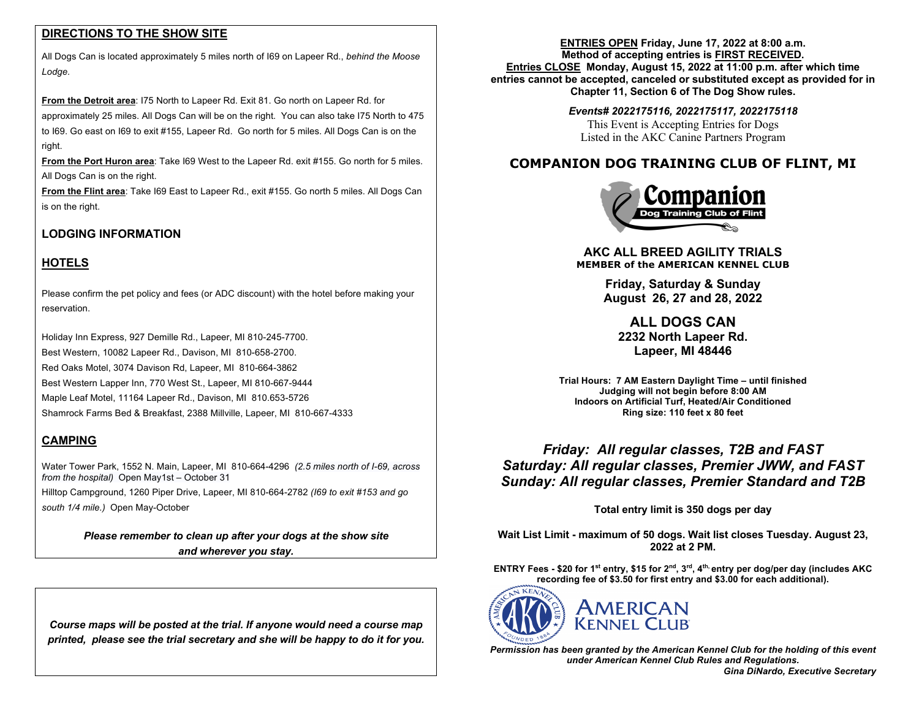## **DIRECTIONS TO THE SHOW SITE**

All Dogs Can is located approximately 5 miles north of I69 on Lapeer Rd., *behind the Moose Lodge.* 

**From the Detroit area**: I75 North to Lapeer Rd. Exit 81. Go north on Lapeer Rd. for approximately 25 miles. All Dogs Can will be on the right. You can also take I75 North to 475 to I69. Go east on I69 to exit #155, Lapeer Rd. Go north for 5 miles. All Dogs Can is on the right.

**From the Port Huron area**: Take I69 West to the Lapeer Rd. exit #155. Go north for 5 miles. All Dogs Can is on the right.

**From the Flint area**: Take I69 East to Lapeer Rd., exit #155. Go north 5 miles. All Dogs Can is on the right.

# **LODGING INFORMATION**

## **HOTELS**

Please confirm the pet policy and fees (or ADC discount) with the hotel before making your reservation.

Holiday Inn Express, 927 Demille Rd., Lapeer, MI 810-245-7700. Best Western, 10082 Lapeer Rd., Davison, MI 810-658-2700. Red Oaks Motel, 3074 Davison Rd, Lapeer, MI 810-664-3862 Best Western Lapper Inn, 770 West St., Lapeer, MI 810-667-9444 Maple Leaf Motel, 11164 Lapeer Rd., Davison, MI 810.653-5726 Shamrock Farms Bed & Breakfast, 2388 Millville, Lapeer, MI 810-667-4333

# **CAMPING**

Water Tower Park, 1552 N. Main, Lapeer, MI 810-664-4296 *(2.5 miles north of I-69, across from the hospital)* Open May1st – October 31

Hilltop Campground, 1260 Piper Drive, Lapeer, MI 810-664-2782 *(I69 to exit #153 and go south 1/4 mile.)* Open May-October

> *Please remember to clean up after your dogs at the show site and wherever you stay.*

*Course maps will be posted at the trial. If anyone would need a course map printed, please see the trial secretary and she will be happy to do it for you.*

**ENTRIES OPEN Friday, June 17, 2022 at 8:00 a.m. Method of accepting entries is FIRST RECEIVED. Entries CLOSE Monday, August 15, 2022 at 11:00 p.m. after which time entries cannot be accepted, canceled or substituted except as provided for in Chapter 11, Section 6 of The Dog Show rules.**

## *Events# 2022175116, 2022175117, 2022175118*

This Event is Accepting Entries for Dogs Listed in the AKC Canine Partners Program

# **COMPANION DOG TRAINING CLUB OF FLINT, MI**



**AKC ALL BREED AGILITY TRIALS MEMBER of the AMERICAN KENNEL CLUB**

> **Friday, Saturday & Sunday August 26, 27 and 28, 2022**

**ALL DOGS CAN 2232 North Lapeer Rd. Lapeer, MI 48446**

**Trial Hours: 7 AM Eastern Daylight Time – until finished Judging will not begin before 8:00 AM Indoors on Artificial Turf, Heated/Air Conditioned Ring size: 110 feet x 80 feet**

*Friday: All regular classes, T2B and FAST Saturday: All regular classes, Premier JWW, and FAST Sunday: All regular classes, Premier Standard and T2B*

**Total entry limit is 350 dogs per day**

**Wait List Limit - maximum of 50 dogs. Wait list closes Tuesday. August 23, 2022 at 2 PM.**

**ENTRY Fees - \$20 for 1st entry, \$15 for 2nd, 3rd, 4th, entry per dog/per day (includes AKC recording fee of \$3.50 for first entry and \$3.00 for each additional).** 



*Permission has been granted by the American Kennel Club for the holding of this event under American Kennel Club Rules and Regulations.*

 *Gina DiNardo, Executive Secretary*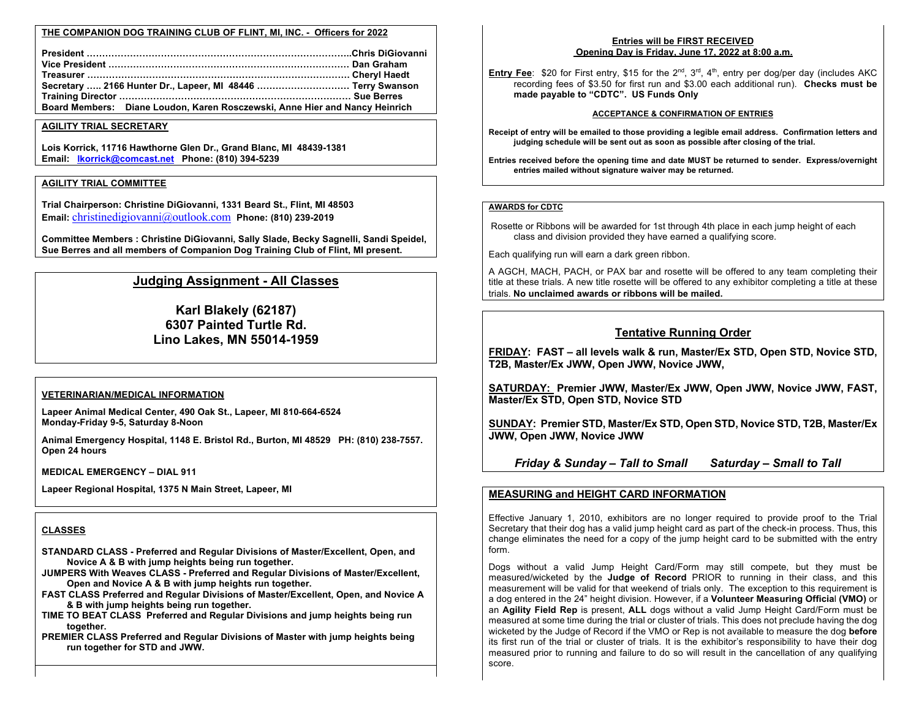### **THE COMPANION DOG TRAINING CLUB OF FLINT, MI, INC. - Officers for 2022**

| Secretary  2166 Hunter Dr., Lapeer, MI 48446  Terry Swanson                 |  |
|-----------------------------------------------------------------------------|--|
|                                                                             |  |
| Board Members: Diane Loudon, Karen Rosczewski, Anne Hier and Nancy Heinrich |  |

#### **AGILITY TRIAL SECRETARY**

**Lois Korrick, 11716 Hawthorne Glen Dr., Grand Blanc, MI 48439-1381 Email: lkorrick@comcast.net Phone: (810) 394-5239**

#### **AGILITY TRIAL COMMITTEE**

**Trial Chairperson: Christine DiGiovanni, 1331 Beard St., Flint, MI 48503 Email:** christinedigiovanni@outlook.com **Phone: (810) 239-2019**

**Committee Members : Christine DiGiovanni, Sally Slade, Becky Sagnelli, Sandi Speidel, Sue Berres and all members of Companion Dog Training Club of Flint, MI present.**

## **Judging Assignment - All Classes**

**Karl Blakely (62187) 6307 Painted Turtle Rd. Lino Lakes, MN 55014-1959**

#### **VETERINARIAN/MEDICAL INFORMATION**

**Lapeer Animal Medical Center, 490 Oak St., Lapeer, MI 810-664-6524 Monday-Friday 9-5, Saturday 8-Noon**

**Animal Emergency Hospital, 1148 E. Bristol Rd., Burton, MI 48529 PH: (810) 238-7557. Open 24 hours**

**MEDICAL EMERGENCY – DIAL 911**

**Lapeer Regional Hospital, 1375 N Main Street, Lapeer, MI**

## **CLASSES**

**STANDARD CLASS - Preferred and Regular Divisions of Master/Excellent, Open, and Novice A & B with jump heights being run together.**

**JUMPERS With Weaves CLASS - Preferred and Regular Divisions of Master/Excellent, Open and Novice A & B with jump heights run together.**

**FAST CLASS Preferred and Regular Divisions of Master/Excellent, Open, and Novice A & B with jump heights being run together.**

**TIME TO BEAT CLASS Preferred and Regular Divisions and jump heights being run together.**

**PREMIER CLASS Preferred and Regular Divisions of Master with jump heights being run together for STD and JWW.**

## **Entries will be FIRST RECEIVED Opening Day is Friday, June 17, 2022 at 8:00 a.m.**

**Entry Fee**: \$20 for First entry, \$15 for the 2<sup>nd</sup>, 3<sup>rd</sup>, 4<sup>th</sup>, entry per dog/per day (includes AKC recording fees of \$3.50 for first run and \$3.00 each additional run). **Checks must be made payable to "CDTC". US Funds Only**

#### **ACCEPTANCE & CONFIRMATION OF ENTRIES**

**Receipt of entry will be emailed to those providing a legible email address. Confirmation letters and judging schedule will be sent out as soon as possible after closing of the trial.**

**Entries received before the opening time and date MUST be returned to sender. Express/overnight entries mailed without signature waiver may be returned.**

### **AWARDS for CDTC**

Rosette or Ribbons will be awarded for 1st through 4th place in each jump height of each class and division provided they have earned a qualifying score.

Each qualifying run will earn a dark green ribbon.

A AGCH, MACH, PACH, or PAX bar and rosette will be offered to any team completing their title at these trials. A new title rosette will be offered to any exhibitor completing a title at these trials. **No unclaimed awards or ribbons will be mailed.**

### **Tentative Running Order**

**FRIDAY: FAST – all levels walk & run, Master/Ex STD, Open STD, Novice STD, T2B, Master/Ex JWW, Open JWW, Novice JWW,** 

**SATURDAY: Premier JWW, Master/Ex JWW, Open JWW, Novice JWW, FAST, Master/Ex STD, Open STD, Novice STD**

**SUNDAY: Premier STD, Master/Ex STD, Open STD, Novice STD, T2B, Master/Ex JWW, Open JWW, Novice JWW**

 *Friday & Sunday – Tall to Small Saturday – Small to Tall*

### **MEASURING and HEIGHT CARD INFORMATION**

Effective January 1, 2010, exhibitors are no longer required to provide proof to the Trial Secretary that their dog has a valid jump height card as part of the check-in process. Thus, this change eliminates the need for a copy of the jump height card to be submitted with the entry form.

Dogs without a valid Jump Height Card/Form may still compete, but they must be measured/wicketed by the **Judge of Record** PRIOR to running in their class, and this measurement will be valid for that weekend of trials only. The exception to this requirement is a dog entered in the 24" height division. However, if a **Volunteer Measuring Officia**l **(VMO)** or an **Agility Field Rep** is present, **ALL** dogs without a valid Jump Height Card/Form must be measured at some time during the trial or cluster of trials. This does not preclude having the dog wicketed by the Judge of Record if the VMO or Rep is not available to measure the dog **before** its first run of the trial or cluster of trials. It is the exhibitor's responsibility to have their dog measured prior to running and failure to do so will result in the cancellation of any qualifying score.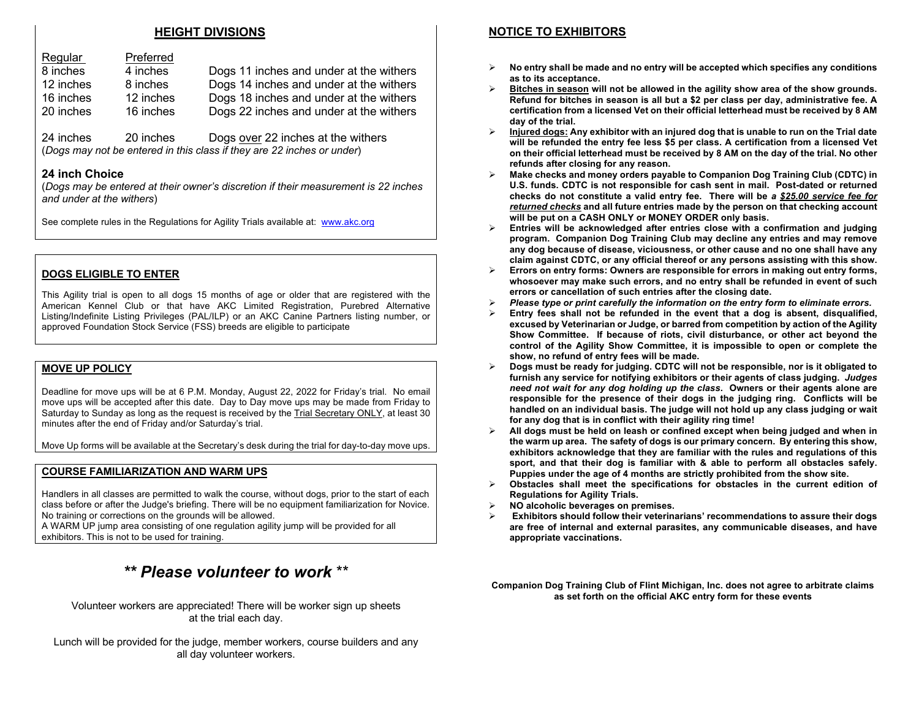## **HEIGHT DIVISIONS**

| Regular   | Preferred |                                         |
|-----------|-----------|-----------------------------------------|
| 8 inches  | 4 inches  | Dogs 11 inches and under at the withers |
| 12 inches | 8 inches  | Dogs 14 inches and under at the withers |
| 16 inches | 12 inches | Dogs 18 inches and under at the withers |
| 20 inches | 16 inches | Dogs 22 inches and under at the withers |

24 inches 20 inches Dogs over 22 inches at the withers (*Dogs may not be entered in this class if they are 22 inches or under*)

## **24 inch Choice**

(*Dogs may be entered at their owner's discretion if their measurement is 22 inches and under at the withers*)

See complete rules in the Regulations for Agility Trials available at: www.akc.org

### **DOGS ELIGIBLE TO ENTER**

This Agility trial is open to all dogs 15 months of age or older that are registered with the American Kennel Club or that have AKC Limited Registration, Purebred Alternative Listing/Indefinite Listing Privileges (PAL/ILP) or an AKC Canine Partners listing number, or approved Foundation Stock Service (FSS) breeds are eligible to participate

### **MOVE UP POLICY**

Deadline for move ups will be at 6 P.M. Monday, August 22, 2022 for Friday's trial. No email move ups will be accepted after this date. Day to Day move ups may be made from Friday to Saturday to Sunday as long as the request is received by the Trial Secretary ONLY, at least 30 minutes after the end of Friday and/or Saturday's trial.

Move Up forms will be available at the Secretary's desk during the trial for day-to-day move ups.

### **COURSE FAMILIARIZATION AND WARM UPS**

Handlers in all classes are permitted to walk the course, without dogs, prior to the start of each class before or after the Judge's briefing. There will be no equipment familiarization for Novice. No training or corrections on the grounds will be allowed.

A WARM UP jump area consisting of one regulation agility jump will be provided for all exhibitors. This is not to be used for training.

# *\*\* Please volunteer to work* \*\*

Volunteer workers are appreciated! There will be worker sign up sheets at the trial each day.

Lunch will be provided for the judge, member workers, course builders and any all day volunteer workers.

## **NOTICE TO EXHIBITORS**

- Ø **No entry shall be made and no entry will be accepted which specifies any conditions as to its acceptance.**
- Ø **Bitches in season will not be allowed in the agility show area of the show grounds. Refund for bitches in season is all but a \$2 per class per day, administrative fee. A certification from a licensed Vet on their official letterhead must be received by 8 AM day of the trial.**
- Ø **Injured dogs: Any exhibitor with an injured dog that is unable to run on the Trial date will be refunded the entry fee less \$5 per class. A certification from a licensed Vet on their official letterhead must be received by 8 AM on the day of the trial. No other refunds after closing for any reason.**
- Ø **Make checks and money orders payable to Companion Dog Training Club (CDTC) in U.S. funds. CDTC is not responsible for cash sent in mail. Post-dated or returned checks do not constitute a valid entry fee. There will be** *a \$25.00 service fee for returned checks* **and all future entries made by the person on that checking account will be put on a CASH ONLY or MONEY ORDER only basis.**
- Ø **Entries will be acknowledged after entries close with a confirmation and judging program. Companion Dog Training Club may decline any entries and may remove any dog because of disease, viciousness, or other cause and no one shall have any claim against CDTC, or any official thereof or any persons assisting with this show.**
- Ø **Errors on entry forms: Owners are responsible for errors in making out entry forms, whosoever may make such errors, and no entry shall be refunded in event of such errors or cancellation of such entries after the closing date.**
- Ø *Please type or print carefully the information on the entry form to eliminate errors.*
- Ø **Entry fees shall not be refunded in the event that a dog is absent, disqualified, excused by Veterinarian or Judge, or barred from competition by action of the Agility Show Committee. If because of riots, civil disturbance, or other act beyond the control of the Agility Show Committee, it is impossible to open or complete the show, no refund of entry fees will be made.**
- Ø **Dogs must be ready for judging. CDTC will not be responsible, nor is it obligated to furnish any service for notifying exhibitors or their agents of class judging.** *Judges need not wait for any dog holding up the class***. Owners or their agents alone are responsible for the presence of their dogs in the judging ring. Conflicts will be handled on an individual basis. The judge will not hold up any class judging or wait for any dog that is in conflict with their agility ring time!**
- Ø **All dogs must be held on leash or confined except when being judged and when in the warm up area. The safety of dogs is our primary concern. By entering this show, exhibitors acknowledge that they are familiar with the rules and regulations of this sport, and that their dog is familiar with & able to perform all obstacles safely. Puppies under the age of 4 months are strictly prohibited from the show site.**
- Ø **Obstacles shall meet the specifications for obstacles in the current edition of Regulations for Agility Trials.**
- Ø **NO alcoholic beverages on premises.**
- Ø **Exhibitors should follow their veterinarians' recommendations to assure their dogs are free of internal and external parasites, any communicable diseases, and have appropriate vaccinations.**

**Companion Dog Training Club of Flint Michigan, Inc. does not agree to arbitrate claims as set forth on the official AKC entry form for these events**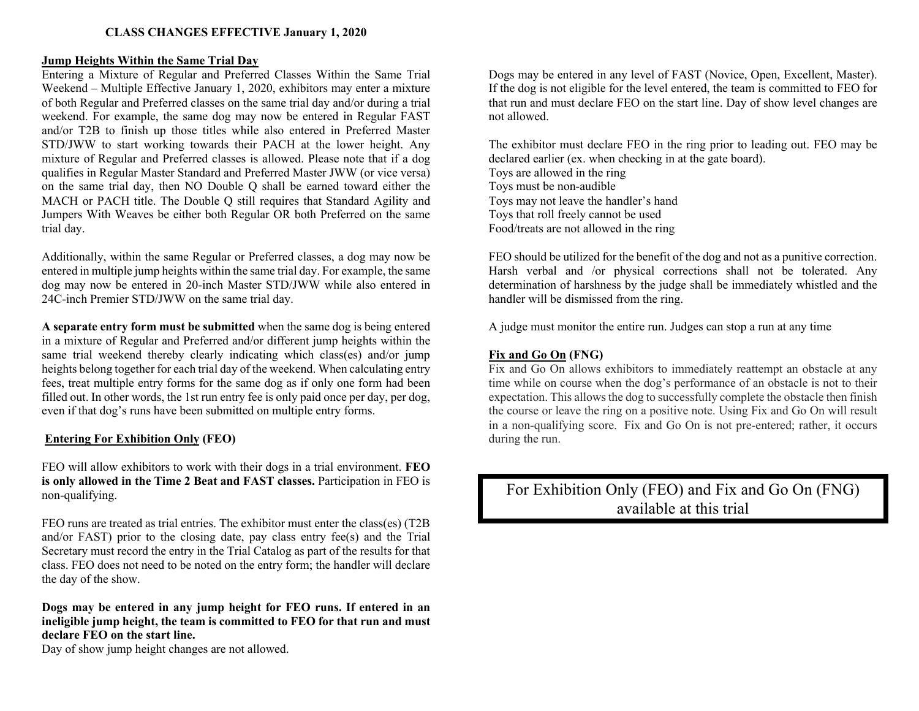## **Jump Heights Within the Same Trial Day**

Entering a Mixture of Regular and Preferred Classes Within the Same Trial Weekend – Multiple Effective January 1, 2020, exhibitors may enter a mixture of both Regular and Preferred classes on the same trial day and/or during a trial weekend. For example, the same dog may now be entered in Regular FAST and/or T2B to finish up those titles while also entered in Preferred Master STD/JWW to start working towards their PACH at the lower height. Any mixture of Regular and Preferred classes is allowed. Please note that if a dog qualifies in Regular Master Standard and Preferred Master JWW (or vice versa) on the same trial day, then NO Double Q shall be earned toward either the MACH or PACH title. The Double Q still requires that Standard Agility and Jumpers With Weaves be either both Regular OR both Preferred on the same trial day.

Additionally, within the same Regular or Preferred classes, a dog may now be entered in multiple jump heights within the same trial day. For example, the same dog may now be entered in 20-inch Master STD/JWW while also entered in 24C-inch Premier STD/JWW on the same trial day.

**A separate entry form must be submitted** when the same dog is being entered in a mixture of Regular and Preferred and/or different jump heights within the same trial weekend thereby clearly indicating which class(es) and/or jump heights belong together for each trial day of the weekend. When calculating entry fees, treat multiple entry forms for the same dog as if only one form had been filled out. In other words, the 1st run entry fee is only paid once per day, per dog, even if that dog's runs have been submitted on multiple entry forms.

## **Entering For Exhibition Only (FEO)**

FEO will allow exhibitors to work with their dogs in a trial environment. **FEO is only allowed in the Time 2 Beat and FAST classes.** Participation in FEO is non-qualifying.

FEO runs are treated as trial entries. The exhibitor must enter the class(es) (T2B and/or FAST) prior to the closing date, pay class entry fee(s) and the Trial Secretary must record the entry in the Trial Catalog as part of the results for that class. FEO does not need to be noted on the entry form; the handler will declare the day of the show.

**Dogs may be entered in any jump height for FEO runs. If entered in an ineligible jump height, the team is committed to FEO for that run and must declare FEO on the start line.**

Day of show jump height changes are not allowed.

Dogs may be entered in any level of FAST (Novice, Open, Excellent, Master). If the dog is not eligible for the level entered, the team is committed to FEO for that run and must declare FEO on the start line. Day of show level changes are not allowed.

The exhibitor must declare FEO in the ring prior to leading out. FEO may be declared earlier (ex. when checking in at the gate board). Toys are allowed in the ring Toys must be non-audible Toys may not leave the handler's hand Toys that roll freely cannot be used Food/treats are not allowed in the ring

FEO should be utilized for the benefit of the dog and not as a punitive correction. Harsh verbal and /or physical corrections shall not be tolerated. Any determination of harshness by the judge shall be immediately whistled and the handler will be dismissed from the ring.

A judge must monitor the entire run. Judges can stop a run at any time

# **Fix and Go On (FNG)**

Fix and Go On allows exhibitors to immediately reattempt an obstacle at any time while on course when the dog's performance of an obstacle is not to their expectation. This allows the dog to successfully complete the obstacle then finish the course or leave the ring on a positive note. Using Fix and Go On will result in a non-qualifying score. Fix and Go On is not pre-entered; rather, it occurs during the run.

For Exhibition Only (FEO) and Fix and Go On (FNG) available at this trial